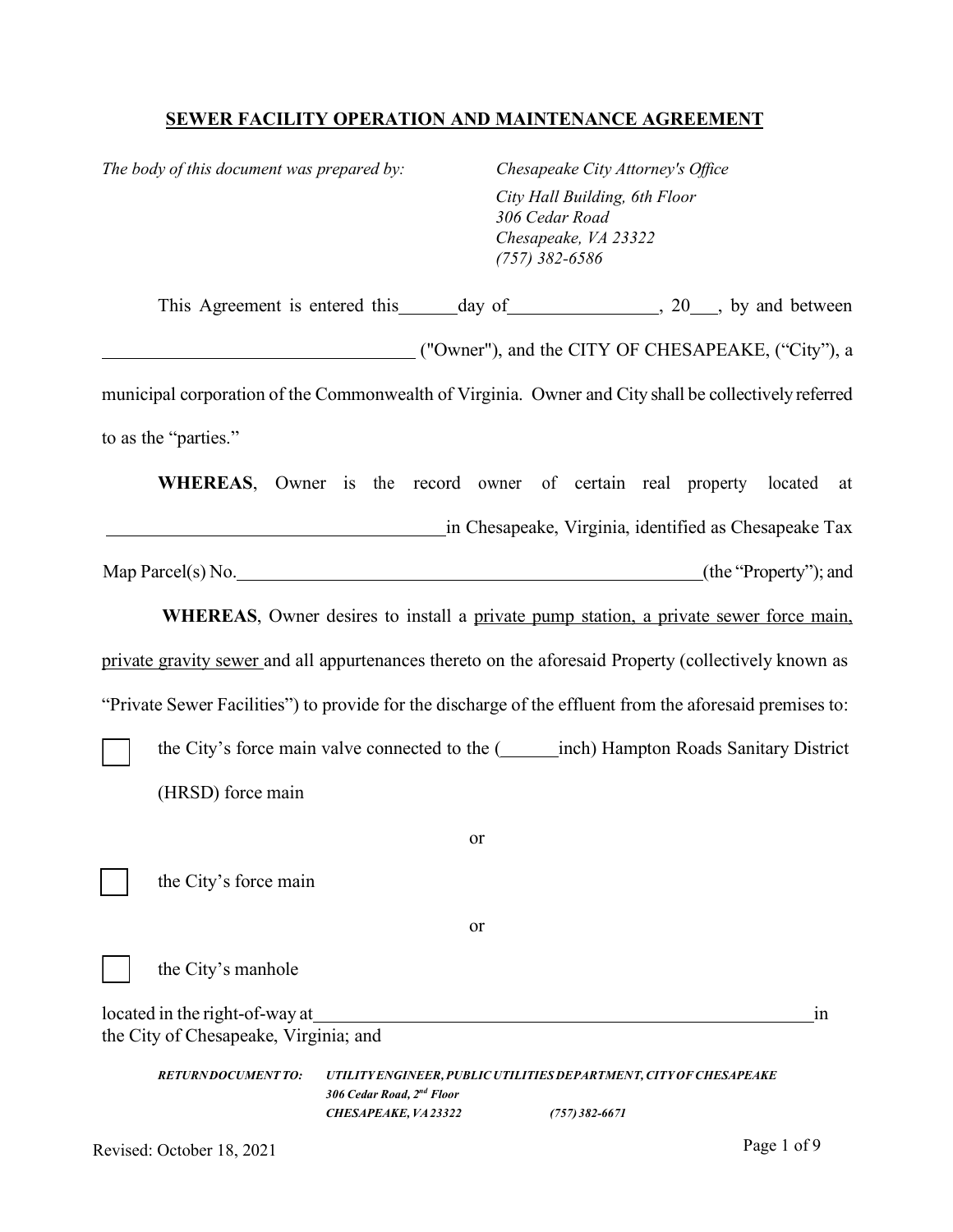# **SEWER FACILITY OPERATION AND MAINTENANCE AGREEMENT**

*The body of this document was prepared by: Chesapeake City Attorney's Office*

*City Hall Building, 6th Floor 306 Cedar Road Chesapeake, VA 23322 (757) 382-6586*

| This Agreement is entered this ______ day of ________________, 20___, by and between                     |                                                  |    |                                                                                        |  |    |
|----------------------------------------------------------------------------------------------------------|--------------------------------------------------|----|----------------------------------------------------------------------------------------|--|----|
| ("Owner"), and the CITY OF CHESAPEAKE, ("City"), a                                                       |                                                  |    |                                                                                        |  |    |
| municipal corporation of the Commonwealth of Virginia. Owner and City shall be collectively referred     |                                                  |    |                                                                                        |  |    |
| to as the "parties."                                                                                     |                                                  |    |                                                                                        |  |    |
| WHEREAS, Owner is the record owner of certain real property located                                      |                                                  |    |                                                                                        |  | at |
| in Chesapeake, Virginia, identified as Chesapeake Tax                                                    |                                                  |    |                                                                                        |  |    |
|                                                                                                          |                                                  |    |                                                                                        |  |    |
| <b>WHEREAS</b> , Owner desires to install a private pump station, a private sewer force main,            |                                                  |    |                                                                                        |  |    |
| private gravity sewer and all appurtenances thereto on the aforesaid Property (collectively known as     |                                                  |    |                                                                                        |  |    |
| "Private Sewer Facilities") to provide for the discharge of the effluent from the aforesaid premises to: |                                                  |    |                                                                                        |  |    |
| the City's force main valve connected to the (inch) Hampton Roads Sanitary District                      |                                                  |    |                                                                                        |  |    |
| (HRSD) force main                                                                                        |                                                  |    |                                                                                        |  |    |
|                                                                                                          |                                                  | or |                                                                                        |  |    |
| the City's force main                                                                                    |                                                  |    |                                                                                        |  |    |
|                                                                                                          |                                                  | or |                                                                                        |  |    |
| the City's manhole                                                                                       |                                                  |    |                                                                                        |  |    |
| located in the right-of-way at                                                                           |                                                  |    |                                                                                        |  | 1n |
| the City of Chesapeake, Virginia; and                                                                    |                                                  |    |                                                                                        |  |    |
| <b>RETURNDOCUMENT TO:</b>                                                                                | 306 Cedar Road, 2nd Floor<br>CHESAPEAKE, VA23322 |    | UTILITY ENGINEER, PUBLIC UTILITIES DEPARTMENT, CITY OF CHESAPEAKE<br>$(757)382 - 6671$ |  |    |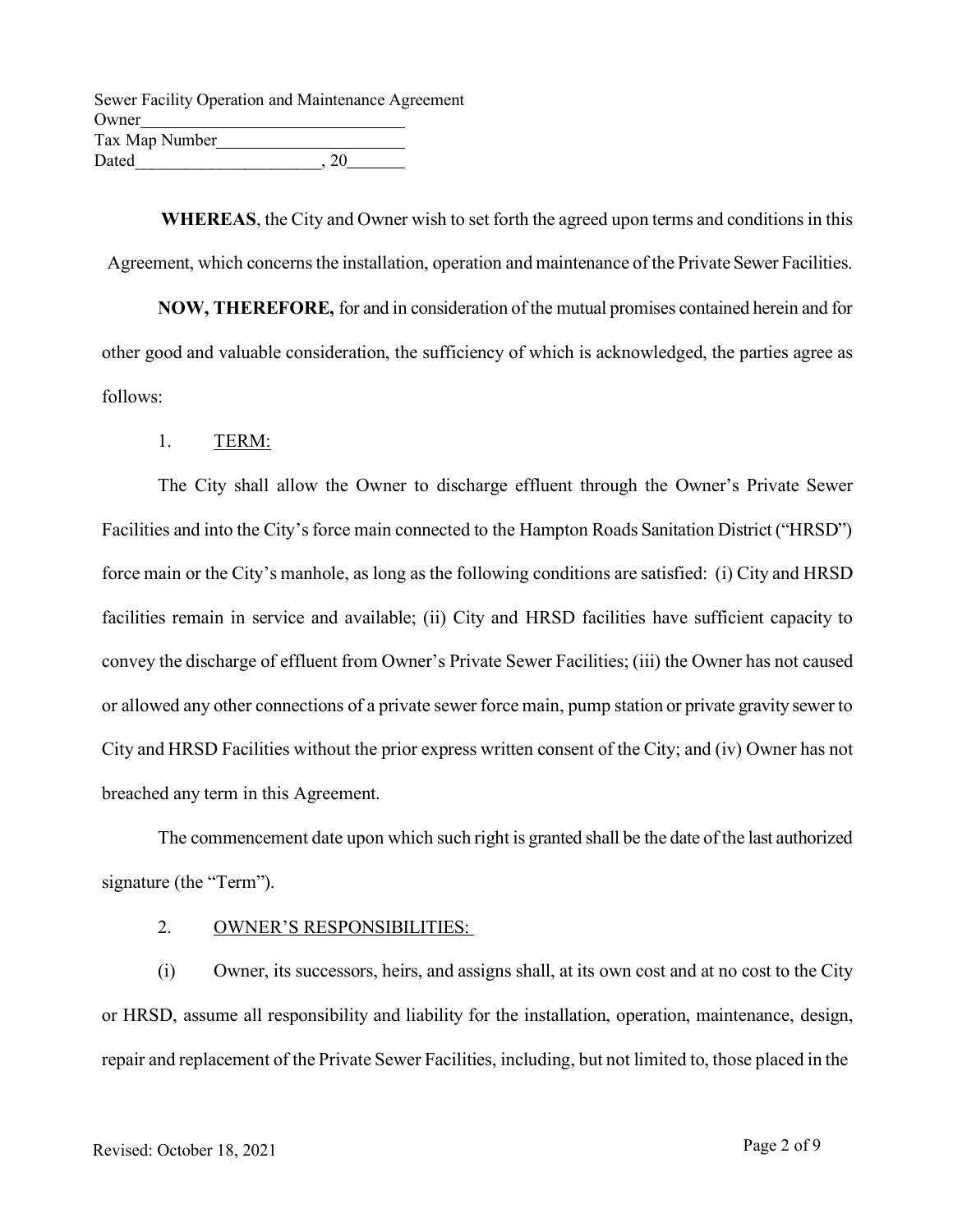|                | Sewer Facility Operation and Maintenance Agreement |  |
|----------------|----------------------------------------------------|--|
| Owner          |                                                    |  |
| Tax Map Number |                                                    |  |
| Dated          | 20                                                 |  |

**WHEREAS**, the City and Owner wish to set forth the agreed upon terms and conditions in this Agreement, which concerns the installation, operation and maintenance of the Private Sewer Facilities.

**NOW, THEREFORE,** for and in consideration of the mutual promises contained herein and for other good and valuable consideration, the sufficiency of which is acknowledged, the parties agree as follows:

1. TERM:

The City shall allow the Owner to discharge effluent through the Owner's Private Sewer Facilities and into the City's force main connected to the Hampton Roads Sanitation District ("HRSD") force main or the City's manhole, as long as the following conditions are satisfied: (i) City and HRSD facilities remain in service and available; (ii) City and HRSD facilities have sufficient capacity to convey the discharge of effluent from Owner's Private Sewer Facilities; (iii) the Owner has not caused or allowed any other connections of a private sewer force main, pump station or private gravity sewer to City and HRSD Facilities without the prior express written consent of the City; and (iv) Owner has not breached any term in this Agreement.

The commencement date upon which such right is granted shall be the date of the last authorized signature (the "Term").

## 2. OWNER'S RESPONSIBILITIES:

(i) Owner, its successors, heirs, and assigns shall, at its own cost and at no cost to the City or HRSD, assume all responsibility and liability for the installation, operation, maintenance, design, repair and replacement of the Private Sewer Facilities, including, but not limited to, those placed in the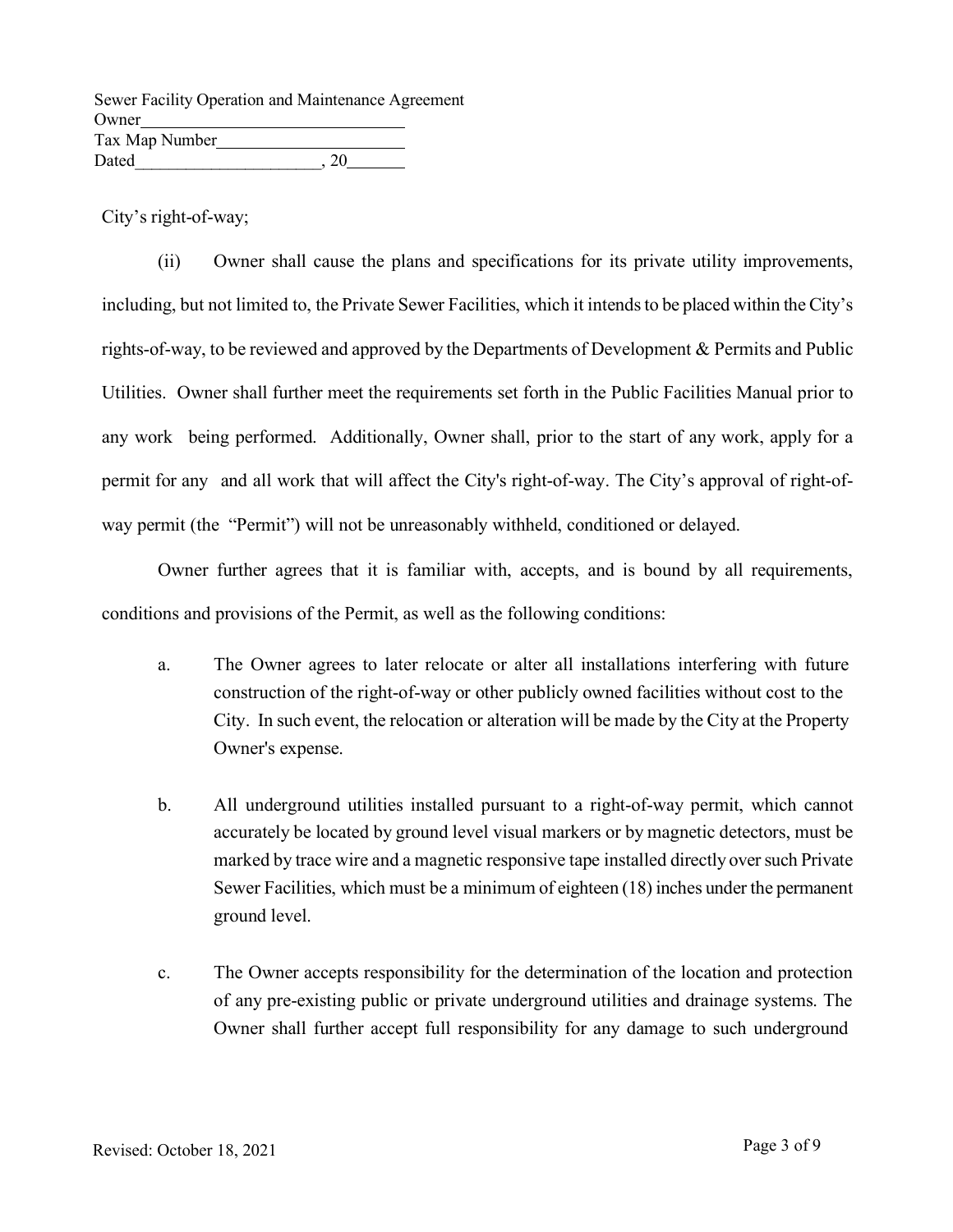|                | Sewer Facility Operation and Maintenance Agreement |  |
|----------------|----------------------------------------------------|--|
| Owner          |                                                    |  |
| Tax Map Number |                                                    |  |
| Dated          | 20                                                 |  |

City's right-of-way;

(ii) Owner shall cause the plans and specifications for its private utility improvements, including, but not limited to, the Private Sewer Facilities, which it intends to be placed within the City's rights-of-way, to be reviewed and approved by the Departments of Development & Permits and Public Utilities. Owner shall further meet the requirements set forth in the Public Facilities Manual prior to any work being performed. Additionally, Owner shall, prior to the start of any work, apply for a permit for any and all work that will affect the City's right-of-way. The City's approval of right-ofway permit (the "Permit") will not be unreasonably withheld, conditioned or delayed.

Owner further agrees that it is familiar with, accepts, and is bound by all requirements, conditions and provisions of the Permit, as well as the following conditions:

- a. The Owner agrees to later relocate or alter all installations interfering with future construction of the right-of-way or other publicly owned facilities without cost to the City. In such event, the relocation or alteration will be made by the City at the Property Owner's expense.
- b. All underground utilities installed pursuant to a right-of-way permit, which cannot accurately be located by ground level visual markers or by magnetic detectors, must be marked by trace wire and a magnetic responsive tape installed directly over such Private Sewer Facilities, which must be a minimum of eighteen (18) inches under the permanent ground level.
- c. The Owner accepts responsibility for the determination of the location and protection of any pre-existing public or private underground utilities and drainage systems. The Owner shall further accept full responsibility for any damage to such underground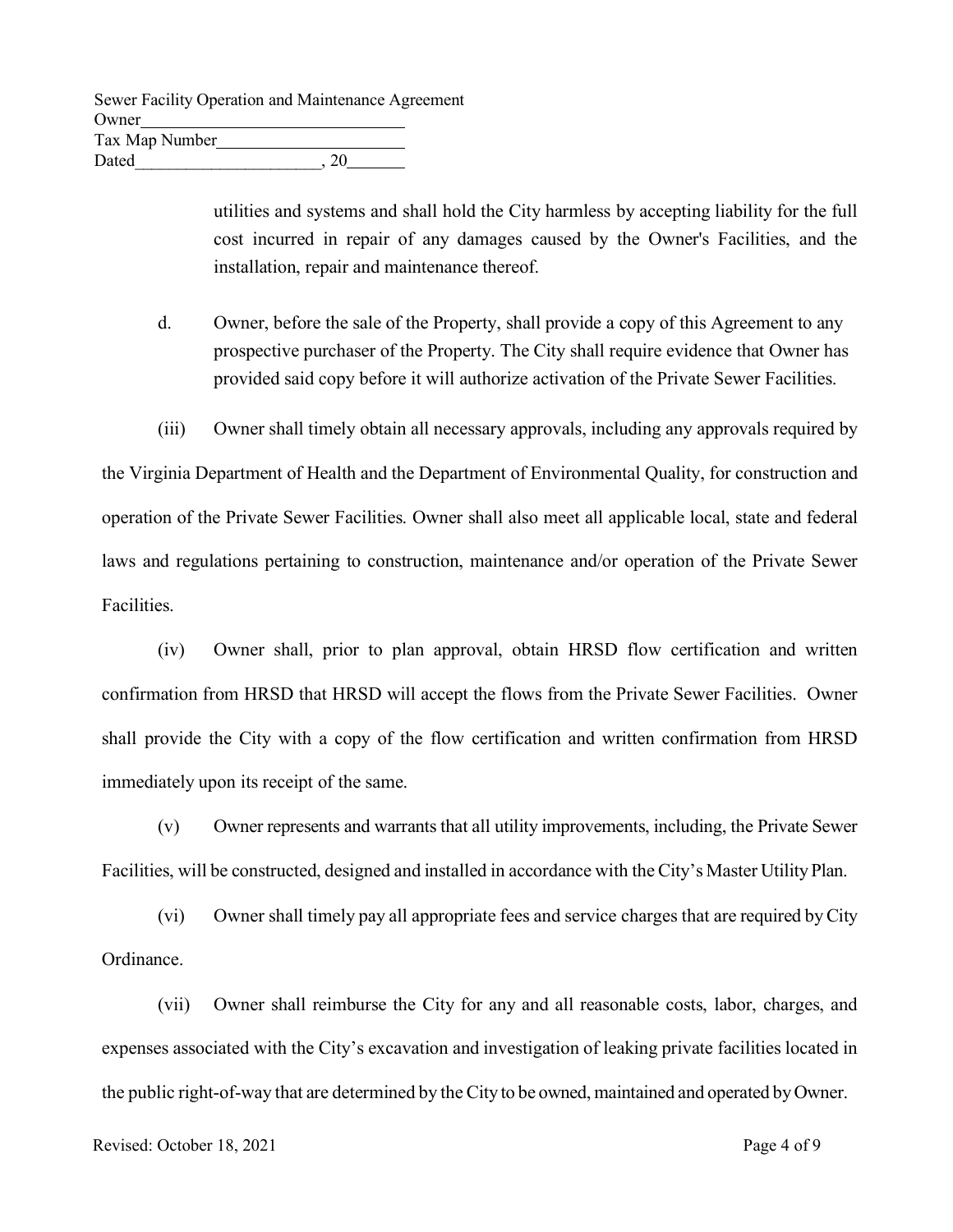|                | Sewer Facility Operation and Maintenance Agreement |  |
|----------------|----------------------------------------------------|--|
| Owner          |                                                    |  |
| Tax Map Number |                                                    |  |
| Dated          | 20                                                 |  |

utilities and systems and shall hold the City harmless by accepting liability for the full cost incurred in repair of any damages caused by the Owner's Facilities, and the installation, repair and maintenance thereof.

- d. Owner, before the sale of the Property, shall provide a copy of this Agreement to any prospective purchaser of the Property. The City shall require evidence that Owner has provided said copy before it will authorize activation of the Private Sewer Facilities.
- (iii) Owner shall timely obtain all necessary approvals, including any approvals required by

the Virginia Department of Health and the Department of Environmental Quality, for construction and operation of the Private Sewer Facilities. Owner shall also meet all applicable local, state and federal laws and regulations pertaining to construction, maintenance and/or operation of the Private Sewer Facilities.

(iv) Owner shall, prior to plan approval, obtain HRSD flow certification and written confirmation from HRSD that HRSD will accept the flows from the Private Sewer Facilities. Owner shall provide the City with a copy of the flow certification and written confirmation from HRSD immediately upon its receipt of the same.

(v) Owner represents and warrants that all utility improvements, including, the Private Sewer Facilities, will be constructed, designed and installed in accordance with the City's Master Utility Plan.

(vi) Owner shall timely pay all appropriate fees and service charges that are required by City Ordinance.

(vii) Owner shall reimburse the City for any and all reasonable costs, labor, charges, and expenses associated with the City's excavation and investigation of leaking private facilities located in the public right-of-way that are determined by the City to be owned, maintained and operated by Owner.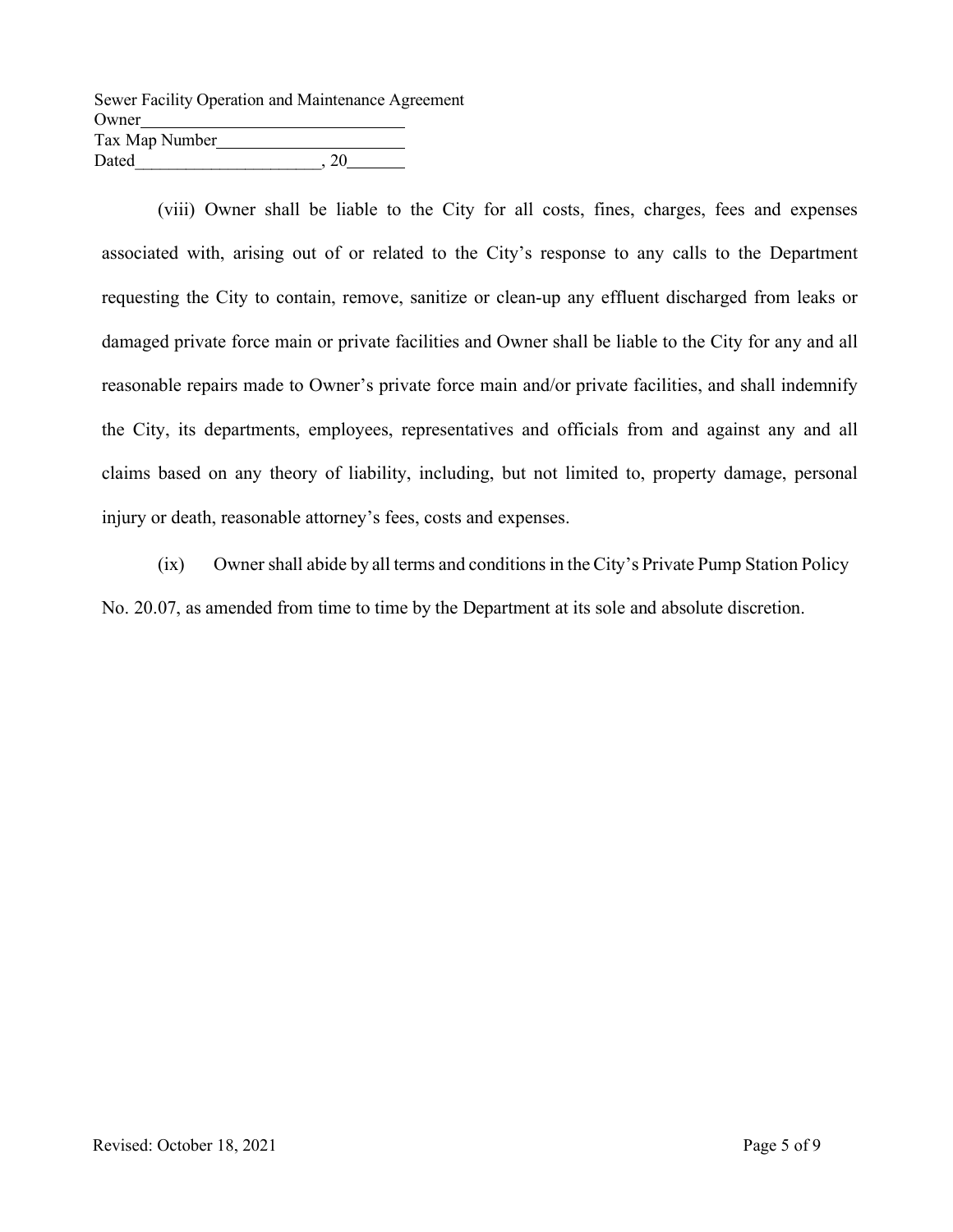|                | Sewer Facility Operation and Maintenance Agreement |  |
|----------------|----------------------------------------------------|--|
| Owner          |                                                    |  |
| Tax Map Number |                                                    |  |
| Dated          | 20                                                 |  |

(viii) Owner shall be liable to the City for all costs, fines, charges, fees and expenses associated with, arising out of or related to the City's response to any calls to the Department requesting the City to contain, remove, sanitize or clean-up any effluent discharged from leaks or damaged private force main or private facilities and Owner shall be liable to the City for any and all reasonable repairs made to Owner's private force main and/or private facilities, and shall indemnify the City, its departments, employees, representatives and officials from and against any and all claims based on any theory of liability, including, but not limited to, property damage, personal injury or death, reasonable attorney's fees, costs and expenses.

(ix) Owner shall abide by all terms and conditions in the City's Private Pump Station Policy No. 20.07, as amended from time to time by the Department at its sole and absolute discretion.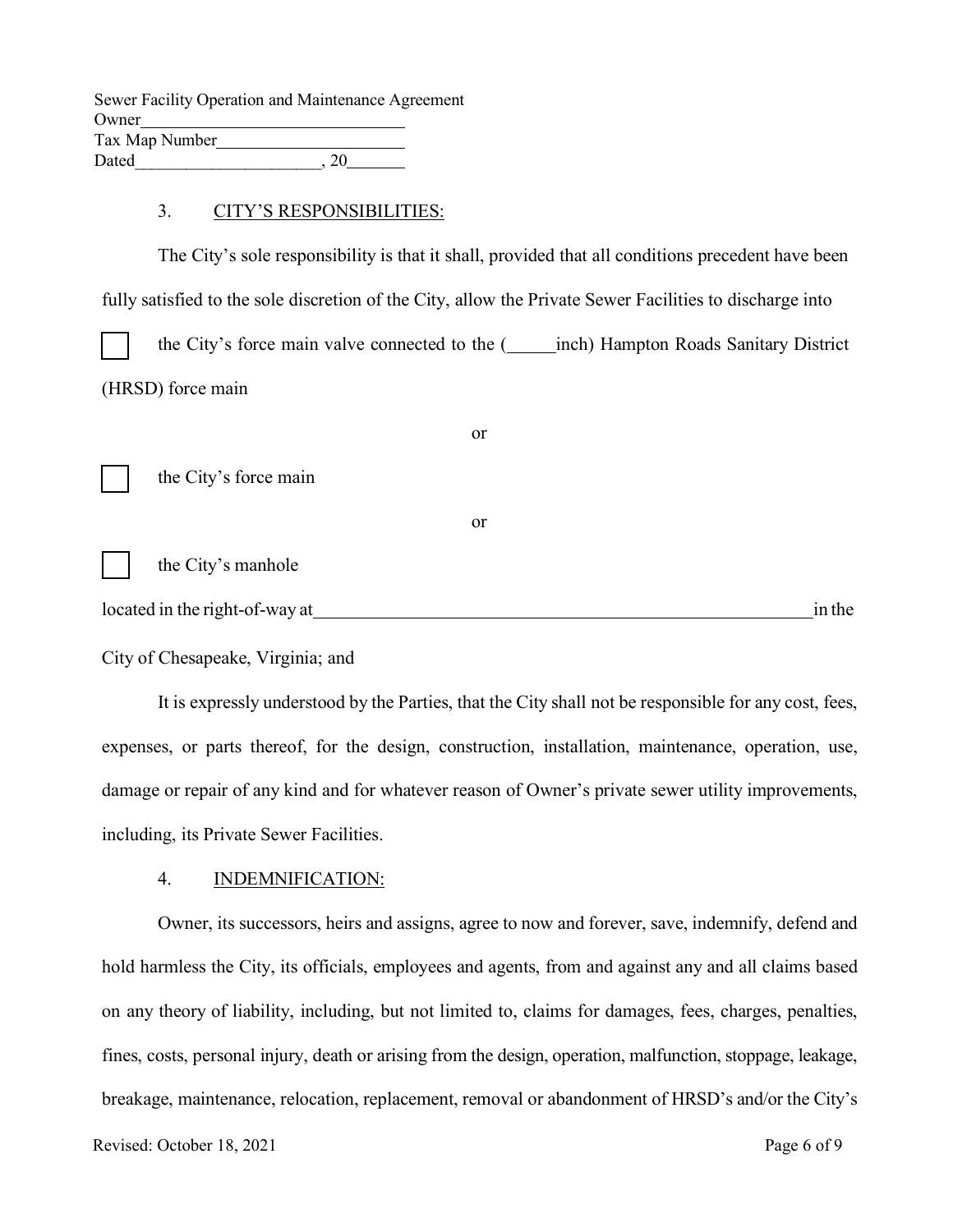|                | Sewer Facility Operation and Maintenance Agreement |  |
|----------------|----------------------------------------------------|--|
| Owner          |                                                    |  |
| Tax Map Number |                                                    |  |
| Dated          | 20                                                 |  |

#### 3. CITY'S RESPONSIBILITIES:

The City's sole responsibility is that it shall, provided that all conditions precedent have been fully satisfied to the sole discretion of the City, allow the Private Sewer Facilities to discharge into the City's force main valve connected to the (**inch**) Hampton Roads Sanitary District (HRSD) force main

|                                | <sub>or</sub> |        |
|--------------------------------|---------------|--------|
| the City's force main          |               |        |
|                                | <sub>or</sub> |        |
| the City's manhole             |               |        |
| located in the right-of-way at |               | in the |

### City of Chesapeake, Virginia; and

It is expressly understood by the Parties, that the City shall not be responsible for any cost, fees, expenses, or parts thereof, for the design, construction, installation, maintenance, operation, use, damage or repair of any kind and for whatever reason of Owner's private sewer utility improvements, including, its Private Sewer Facilities.

#### 4. INDEMNIFICATION:

Owner, its successors, heirs and assigns, agree to now and forever, save, indemnify, defend and hold harmless the City, its officials, employees and agents, from and against any and all claims based on any theory of liability, including, but not limited to, claims for damages, fees, charges, penalties, fines, costs, personal injury, death or arising from the design, operation, malfunction, stoppage, leakage, breakage, maintenance, relocation, replacement, removal or abandonment of HRSD's and/or the City's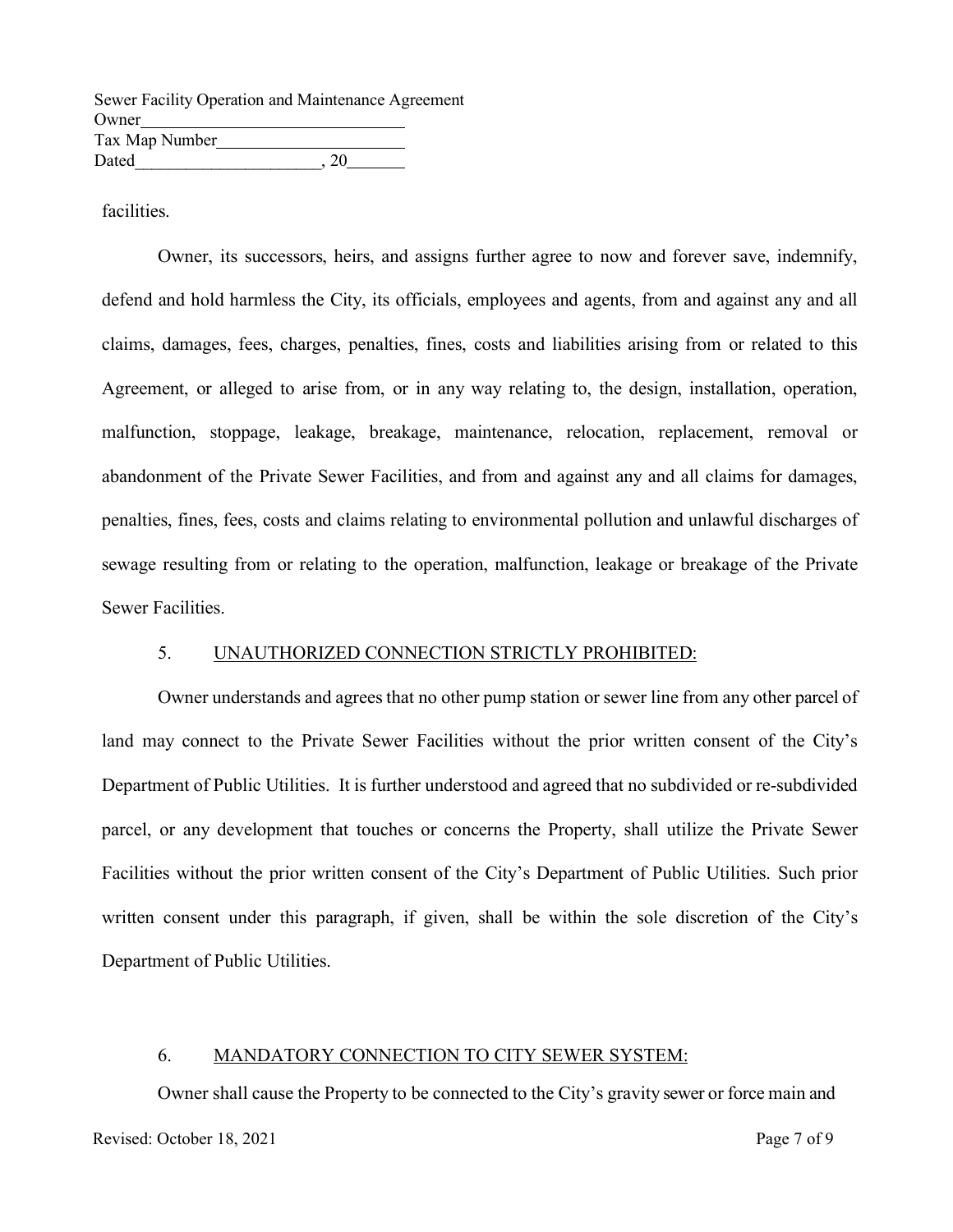|                | Sewer Facility Operation and Maintenance Agreement |  |
|----------------|----------------------------------------------------|--|
| Owner          |                                                    |  |
| Tax Map Number |                                                    |  |
| Dated          | $\cdot$ 20                                         |  |

facilities.

Owner, its successors, heirs, and assigns further agree to now and forever save, indemnify, defend and hold harmless the City, its officials, employees and agents, from and against any and all claims, damages, fees, charges, penalties, fines, costs and liabilities arising from or related to this Agreement, or alleged to arise from, or in any way relating to, the design, installation, operation, malfunction, stoppage, leakage, breakage, maintenance, relocation, replacement, removal or abandonment of the Private Sewer Facilities, and from and against any and all claims for damages, penalties, fines, fees, costs and claims relating to environmental pollution and unlawful discharges of sewage resulting from or relating to the operation, malfunction, leakage or breakage of the Private Sewer Facilities.

### 5. UNAUTHORIZED CONNECTION STRICTLY PROHIBITED:

Owner understands and agrees that no other pump station or sewer line from any other parcel of land may connect to the Private Sewer Facilities without the prior written consent of the City's Department of Public Utilities. It is further understood and agreed that no subdivided or re-subdivided parcel, or any development that touches or concerns the Property, shall utilize the Private Sewer Facilities without the prior written consent of the City's Department of Public Utilities. Such prior written consent under this paragraph, if given, shall be within the sole discretion of the City's Department of Public Utilities.

### 6. MANDATORY CONNECTION TO CITY SEWER SYSTEM:

Owner shall cause the Property to be connected to the City's gravity sewer or force main and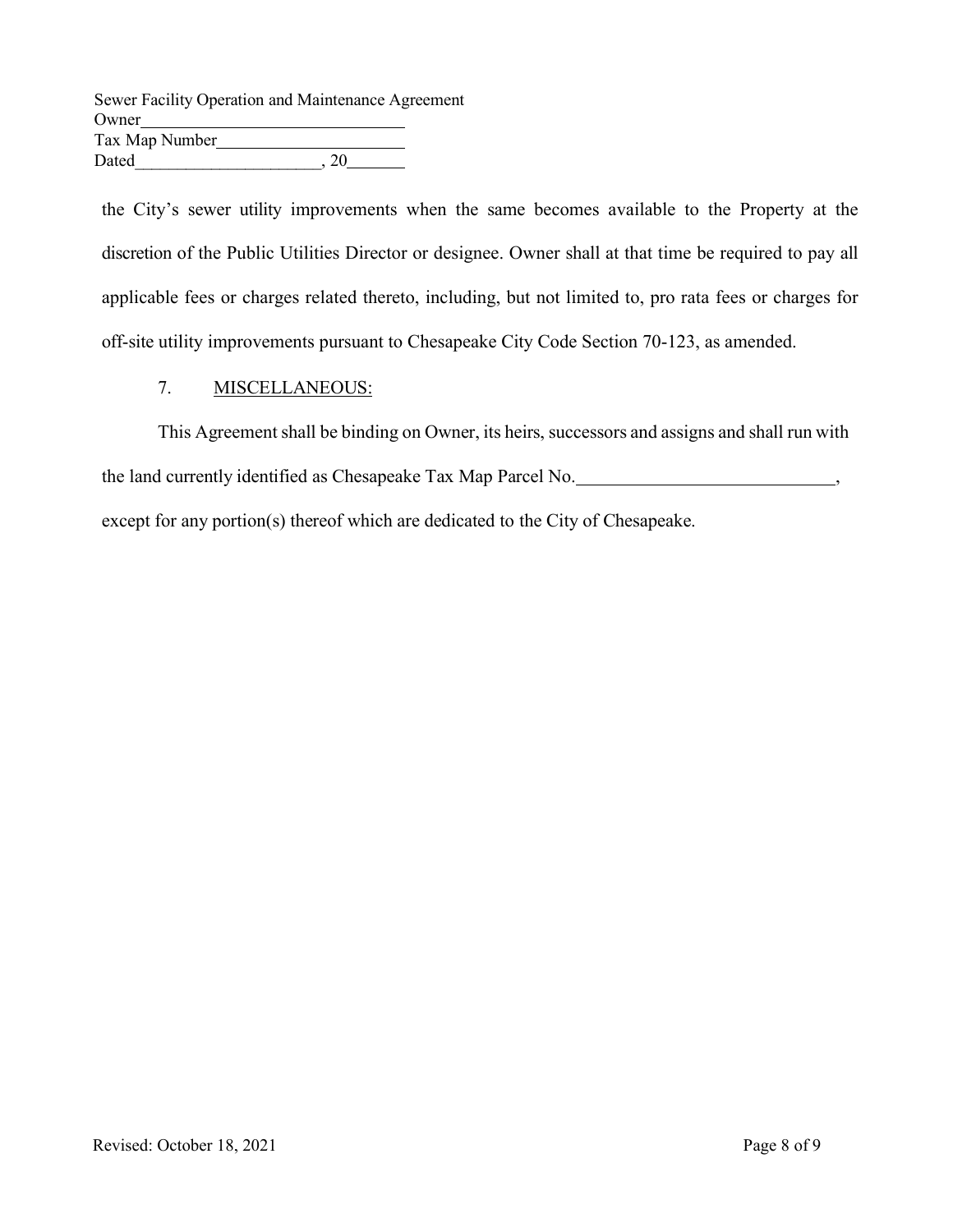Sewer Facility Operation and Maintenance Agreement Owner Tax Map Number Dated  $, 20$ 

the City's sewer utility improvements when the same becomes available to the Property at the discretion of the Public Utilities Director or designee. Owner shall at that time be required to pay all applicable fees or charges related thereto, including, but not limited to, pro rata fees or charges for off-site utility improvements pursuant to Chesapeake City Code Section 70-123, as amended.

## 7. MISCELLANEOUS:

This Agreement shall be binding on Owner, its heirs, successors and assigns and shall run with the land currently identified as Chesapeake Tax Map Parcel No. *Calculation Containers*,  $\frac{1}{2}$ ,  $\frac{1}{2}$ except for any portion(s) thereof which are dedicated to the City of Chesapeake.